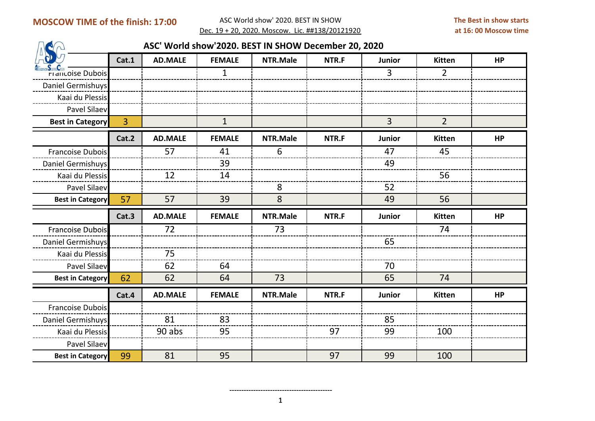## **MOSCOW TIME of the finish: 17:00**

 ASC World show' 2020. BEST IN SHOW Dec. 19 + 20, 2020. Moscow. Lic. ##138/20121920

| ASC' World show'2020. BEST IN SHOW December 20, 2020 |       |                |               |          |       |                |                |           |
|------------------------------------------------------|-------|----------------|---------------|----------|-------|----------------|----------------|-----------|
|                                                      | Cat.1 | <b>AD.MALE</b> | <b>FEMALE</b> | NTR.Male | NTR.F | <b>Junior</b>  | Kitten         | <b>HP</b> |
| <b>Francoise Dubois</b>                              |       |                | $\mathbf{1}$  |          |       | $\overline{3}$ | $\overline{2}$ |           |
| Daniel Germishuys                                    |       |                |               |          |       |                |                |           |
| Kaai du Plessis                                      |       |                |               |          |       |                |                |           |
| Pavel Silaev                                         |       |                |               |          |       |                |                |           |
| <b>Best in Category</b>                              | 3     |                | $\mathbf{1}$  |          |       | $\overline{3}$ | $\overline{2}$ |           |
|                                                      | Cat.2 | <b>AD.MALE</b> | <b>FEMALE</b> | NTR.Male | NTR.F | <b>Junior</b>  | Kitten         | <b>HP</b> |
| Francoise Dubois                                     |       | 57             | 41            | 6        |       | 47             | 45             |           |
| Daniel Germishuys                                    |       |                | 39            |          |       | 49             |                |           |
| Kaai du Plessis                                      |       | 12             | 14            |          |       |                | 56             |           |
| Pavel Silaev                                         |       |                |               | 8        |       | 52             |                |           |
|                                                      |       |                | 39            | 8        |       | 49             | 56             |           |
| <b>Best in Category</b>                              | 57    | 57             |               |          |       |                |                |           |
|                                                      | Cat.3 | <b>AD.MALE</b> | <b>FEMALE</b> | NTR.Male | NTR.F | Junior         | Kitten         | <b>HP</b> |
| <b>Francoise Dubois</b>                              |       | 72             |               | 73       |       |                | 74             |           |
| Daniel Germishuys                                    |       |                |               |          |       | 65             |                |           |
| Kaai du Plessis                                      |       | 75             |               |          |       |                |                |           |
| Pavel Silaev                                         |       | 62             | 64            |          |       | 70             |                |           |
| <b>Best in Category</b>                              | 62    | 62             | 64            | 73       |       | 65             | 74             |           |
|                                                      | Cat.4 | <b>AD.MALE</b> | <b>FEMALE</b> | NTR.Male | NTR.F | Junior         | Kitten         | <b>HP</b> |
| Francoise Dubois                                     |       |                |               |          |       |                |                |           |
| Daniel Germishuys                                    |       | 81             | 83            |          |       | 85             |                |           |
| Kaai du Plessis                                      |       | 90 abs         | 95            |          | 97    | 99             | 100            |           |
| Pavel Silaev                                         |       |                |               |          |       |                |                |           |